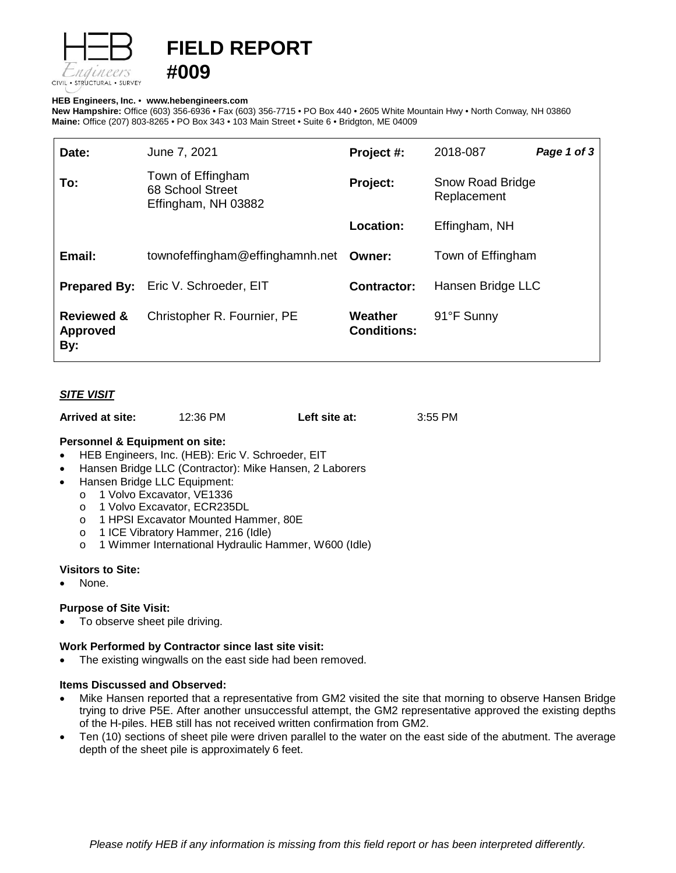

# **FIELD REPORT**

## **HEB Engineers, Inc.** • **[www.hebengineer](http://www.hebengineers.com/)s.com**

**#009**

**New Hampshire:** Office (603) 356-6936 • Fax (603) 356-7715 • PO Box 440 • 2605 White Mountain Hwy • North Conway, NH 03860 **Maine:** Office (207) 803-8265 • PO Box 343 • 103 Main Street • Suite 6 • Bridgton, ME 04009

| Date:                                           | June 7, 2021                                                 | Project #:                    | 2018-087                               | Page 1 of 3 |
|-------------------------------------------------|--------------------------------------------------------------|-------------------------------|----------------------------------------|-------------|
| To:                                             | Town of Effingham<br>68 School Street<br>Effingham, NH 03882 | Project:                      | <b>Snow Road Bridge</b><br>Replacement |             |
|                                                 |                                                              | Location:                     | Effingham, NH                          |             |
| Email:                                          | townofeffingham@effinghamnh.net Owner:                       |                               | Town of Effingham                      |             |
|                                                 | <b>Prepared By:</b> Eric V. Schroeder, EIT                   | <b>Contractor:</b>            | Hansen Bridge LLC                      |             |
| <b>Reviewed &amp;</b><br><b>Approved</b><br>By: | Christopher R. Fournier, PE                                  | Weather<br><b>Conditions:</b> | 91°F Sunny                             |             |

# *SITE VISIT*

| Arrived at site: | 12:36 PM | Left site at: | 3:55 PM |
|------------------|----------|---------------|---------|
|------------------|----------|---------------|---------|

## **Personnel & Equipment on site:**

- HEB Engineers, Inc. (HEB): Eric V. Schroeder, EIT
- Hansen Bridge LLC (Contractor): Mike Hansen, 2 Laborers
- Hansen Bridge LLC Equipment:
	- o 1 Volvo Excavator, VE1336<br>o 1 Volvo Excavator, ECR235
	- o 1 Volvo Excavator, ECR235DL<br>o 1 HPSI Excavator Mounted Har
	- 1 HPSI Excavator Mounted Hammer, 80E
	- o 1 ICE Vibratory Hammer, 216 (Idle)
	- o 1 Wimmer International Hydraulic Hammer, W600 (Idle)

## **Visitors to Site:**

None.

## **Purpose of Site Visit:**

To observe sheet pile driving.

#### **Work Performed by Contractor since last site visit:**

The existing wingwalls on the east side had been removed.

# **Items Discussed and Observed:**

- Mike Hansen reported that a representative from GM2 visited the site that morning to observe Hansen Bridge trying to drive P5E. After another unsuccessful attempt, the GM2 representative approved the existing depths of the H-piles. HEB still has not received written confirmation from GM2.
- Ten (10) sections of sheet pile were driven parallel to the water on the east side of the abutment. The average depth of the sheet pile is approximately 6 feet.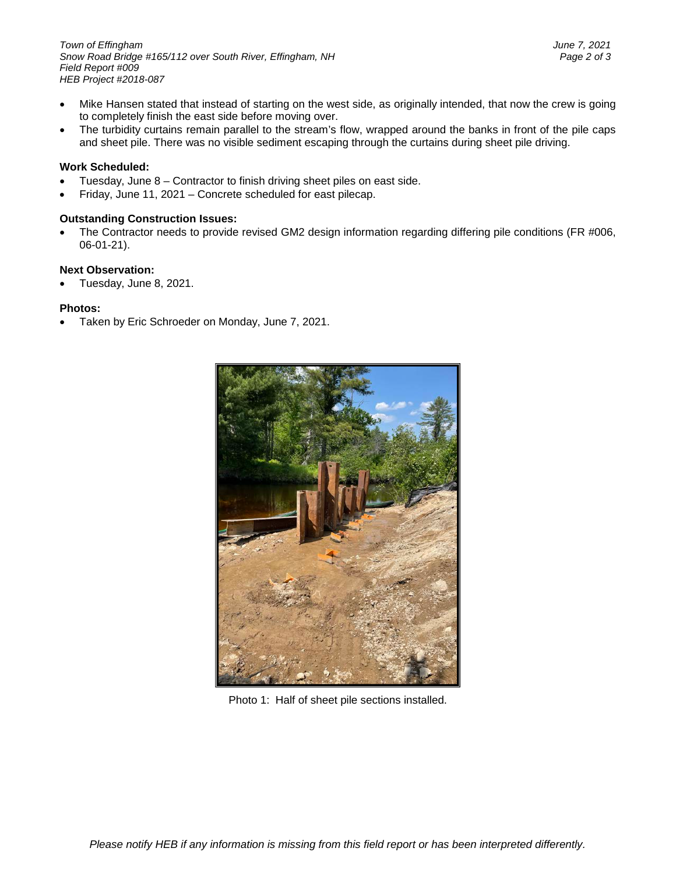- Mike Hansen stated that instead of starting on the west side, as originally intended, that now the crew is going to completely finish the east side before moving over.
- The turbidity curtains remain parallel to the stream's flow, wrapped around the banks in front of the pile caps and sheet pile. There was no visible sediment escaping through the curtains during sheet pile driving.

# **Work Scheduled:**

- Tuesday, June 8 Contractor to finish driving sheet piles on east side.
- Friday, June 11, 2021 Concrete scheduled for east pilecap.

# **Outstanding Construction Issues:**

The Contractor needs to provide revised GM2 design information regarding differing pile conditions (FR #006, 06-01-21).

# **Next Observation:**

• Tuesday, June 8, 2021.

# **Photos:**

• Taken by Eric Schroeder on Monday, June 7, 2021.



Photo 1: Half of sheet pile sections installed.